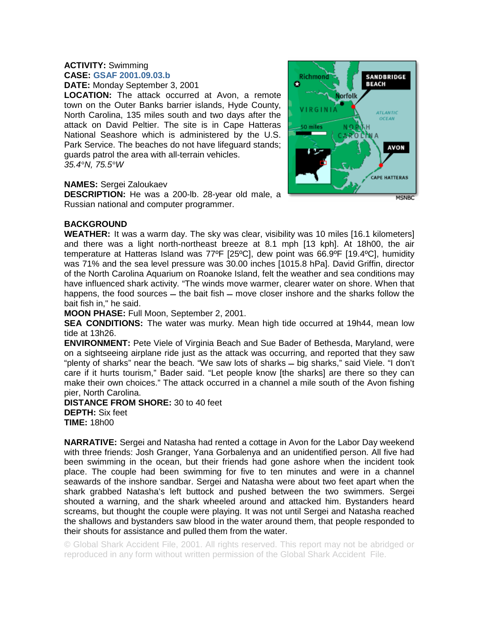## **ACTIVITY:** Swimming **CASE: GSAF 2001.09.03.b**

**DATE:** Monday September 3, 2001

**LOCATION:** The attack occurred at Avon, a remote town on the Outer Banks barrier islands, Hyde County, North Carolina, 135 miles south and two days after the attack on David Peltier. The site is in Cape Hatteras National Seashore which is administered by the U.S. Park Service. The beaches do not have lifeguard stands; guards patrol the area with all-terrain vehicles. *35.4°N, 75.5°W* 

## **NAMES:** Sergei Zaloukaev

**DESCRIPTION:** He was a 200-lb. 28-year old male, a Russian national and computer programmer.



## **BACKGROUND**

**WEATHER:** It was a warm day. The sky was clear, visibility was 10 miles [16.1 kilometers] and there was a light north-northeast breeze at 8.1 mph [13 kph]. At 18h00, the air temperature at Hatteras Island was 77ºF [25ºC], dew point was 66.9ºF [19.4ºC], humidity was 71% and the sea level pressure was 30.00 inches [1015.8 hPa]. David Griffin, director of the North Carolina Aquarium on Roanoke Island, felt the weather and sea conditions may have influenced shark activity. "The winds move warmer, clearer water on shore. When that happens, the food sources  $-$  the bait fish  $-$  move closer inshore and the sharks follow the bait fish in," he said.

**MOON PHASE:** Full Moon, September 2, 2001.

**SEA CONDITIONS:** The water was murky. Mean high tide occurred at 19h44, mean low tide at 13h26.

**ENVIRONMENT:** Pete Viele of Virginia Beach and Sue Bader of Bethesda, Maryland, were on a sightseeing airplane ride just as the attack was occurring, and reported that they saw "plenty of sharks" near the beach. "We saw lots of sharks  $-$  big sharks," said Viele. "I don't care if it hurts tourism," Bader said. "Let people know [the sharks] are there so they can make their own choices." The attack occurred in a channel a mile south of the Avon fishing pier, North Carolina.

**DISTANCE FROM SHORE:** 30 to 40 feet **DEPTH:** Six feet **TIME:** 18h00

**NARRATIVE:** Sergei and Natasha had rented a cottage in Avon for the Labor Day weekend with three friends: Josh Granger, Yana Gorbalenya and an unidentified person. All five had been swimming in the ocean, but their friends had gone ashore when the incident took place. The couple had been swimming for five to ten minutes and were in a channel seawards of the inshore sandbar. Sergei and Natasha were about two feet apart when the shark grabbed Natasha's left buttock and pushed between the two swimmers. Sergei shouted a warning, and the shark wheeled around and attacked him. Bystanders heard screams, but thought the couple were playing. It was not until Sergei and Natasha reached the shallows and bystanders saw blood in the water around them, that people responded to their shouts for assistance and pulled them from the water.

© Global Shark Accident File, 2001. All rights reserved. This report may not be abridged or reproduced in any form without written permission of the Global Shark Accident File.